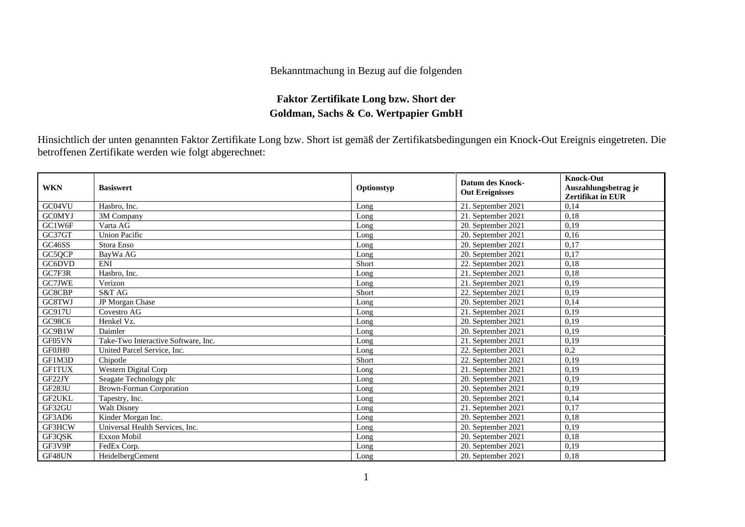## Bekanntmachung in Bezug auf die folgenden

## **Faktor Zertifikate Long bzw. Short der Goldman, Sachs & Co. Wertpapier GmbH**

Hinsichtlich der unten genannten Faktor Zertifikate Long bzw. Short ist gemäß der Zertifikatsbedingungen ein Knock-Out Ereignis eingetreten. Die betroffenen Zertifikate werden wie folgt abgerechnet:

| <b>WKN</b>    | <b>Basiswert</b>                    | Optionstyp | <b>Datum des Knock-</b><br><b>Out Ereignisses</b> | <b>Knock-Out</b><br>Auszahlungsbetrag je<br><b>Zertifikat in EUR</b> |
|---------------|-------------------------------------|------------|---------------------------------------------------|----------------------------------------------------------------------|
| GC04VU        | Hasbro. Inc.                        | Long       | 21. September 2021                                | 0,14                                                                 |
| <b>GCOMYJ</b> | 3M Company                          | Long       | 21. September 2021                                | 0,18                                                                 |
| GC1W6F        | Varta AG                            | Long       | 20. September 2021                                | 0,19                                                                 |
| GC37GT        | <b>Union Pacific</b>                | Long       | 20. September 2021                                | 0,16                                                                 |
| GC46SS        | Stora Enso                          | Long       | 20. September 2021                                | 0,17                                                                 |
| GC5QCP        | BayWa AG                            | Long       | 20. September 2021                                | 0,17                                                                 |
| GC6DVD        | <b>ENI</b>                          | Short      | 22. September 2021                                | 0,18                                                                 |
| GC7F3R        | Hasbro, Inc.                        | Long       | 21. September 2021                                | 0,18                                                                 |
| GC7JWE        | Verizon                             | Long       | 21. September 2021                                | 0,19                                                                 |
| GC8CBP        | S&T AG                              | Short      | 22. September 2021                                | 0,19                                                                 |
| GC8TWJ        | JP Morgan Chase                     | Long       | 20. September 2021                                | 0,14                                                                 |
| GC917U        | Covestro AG                         | Long       | 21. September 2021                                | 0,19                                                                 |
| GC98C6        | Henkel Vz.                          | Long       | 20. September 2021                                | 0,19                                                                 |
| GC9B1W        | Daimler                             | Long       | 20. September 2021                                | 0,19                                                                 |
| GF05VN        | Take-Two Interactive Software, Inc. | Long       | 21. September 2021                                | 0,19                                                                 |
| GF0JH0        | United Parcel Service, Inc.         | Long       | 22. September 2021                                | 0,2                                                                  |
| GF1M3D        | Chipotle                            | Short      | 22. September 2021                                | 0,19                                                                 |
| <b>GF1TUX</b> | Western Digital Corp                | Long       | 21. September 2021                                | 0,19                                                                 |
| GF22JY        | Seagate Technology plc              | Long       | 20. September 2021                                | 0,19                                                                 |
| <b>GF283U</b> | <b>Brown-Forman Corporation</b>     | Long       | 20. September 2021                                | 0,19                                                                 |
| <b>GF2UKL</b> | Tapestry, Inc.                      | Long       | 20. September 2021                                | 0,14                                                                 |
| GF32GU        | <b>Walt Disney</b>                  | Long       | 21. September 2021                                | 0,17                                                                 |
| GF3AD6        | Kinder Morgan Inc.                  | Long       | 20. September 2021                                | 0,18                                                                 |
| GF3HCW        | Universal Health Services, Inc.     | Long       | 20. September 2021                                | 0,19                                                                 |
| GF3QSK        | <b>Exxon Mobil</b>                  | Long       | 20. September 2021                                | 0,18                                                                 |
| GF3V9P        | FedEx Corp.                         | Long       | 20. September 2021                                | 0,19                                                                 |
| GF48UN        | HeidelbergCement                    | Long       | 20. September 2021                                | 0,18                                                                 |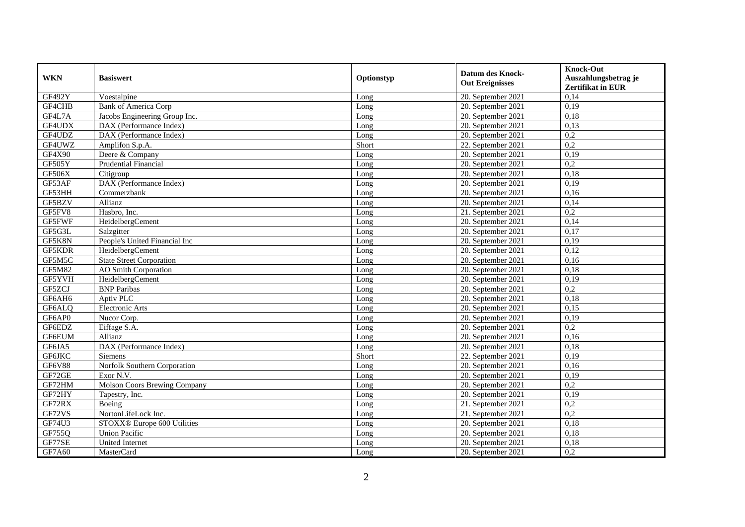| <b>WKN</b>    | <b>Basiswert</b>                | Optionstyp | <b>Datum des Knock-</b><br><b>Out Ereignisses</b> | <b>Knock-Out</b><br>Auszahlungsbetrag je<br><b>Zertifikat in EUR</b> |
|---------------|---------------------------------|------------|---------------------------------------------------|----------------------------------------------------------------------|
| GF492Y        | Voestalpine                     | Long       | 20. September 2021                                | 0,14                                                                 |
| GF4CHB        | <b>Bank of America Corp</b>     | Long       | 20. September 2021                                | 0,19                                                                 |
| GF4L7A        | Jacobs Engineering Group Inc.   | Long       | 20. September 2021                                | 0,18                                                                 |
| GF4UDX        | DAX (Performance Index)         | Long       | 20. September 2021                                | 0,13                                                                 |
| GF4UDZ        | DAX (Performance Index)         | Long       | 20. September 2021                                | 0,2                                                                  |
| GF4UWZ        | Amplifon S.p.A.                 | Short      | 22. September 2021                                | $\overline{0.2}$                                                     |
| GF4X90        | Deere & Company                 | Long       | 20. September 2021                                | 0,19                                                                 |
| GF505Y        | Prudential Financial            | Long       | 20. September 2021                                | 0,2                                                                  |
| GF506X        | Citigroup                       | Long       | 20. September 2021                                | 0,18                                                                 |
| GF53AF        | DAX (Performance Index)         | Long       | 20. September 2021                                | 0,19                                                                 |
| GF53HH        | Commerzbank                     | Long       | 20. September 2021                                | 0,16                                                                 |
| GF5BZV        | Allianz                         | Long       | 20. September 2021                                | 0,14                                                                 |
| GF5FV8        | Hasbro. Inc.                    | Long       | 21. September 2021                                | 0,2                                                                  |
| GF5FWF        | HeidelbergCement                | Long       | 20. September 2021                                | 0,14                                                                 |
| GF5G3L        | Salzgitter                      | Long       | 20. September 2021                                | 0,17                                                                 |
| GF5K8N        | People's United Financial Inc   | Long       | 20. September 2021                                | 0,19                                                                 |
| GF5KDR        | HeidelbergCement                | Long       | 20. September 2021                                | 0,12                                                                 |
| GF5M5C        | <b>State Street Corporation</b> | Long       | 20. September 2021                                | 0,16                                                                 |
| <b>GF5M82</b> | <b>AO</b> Smith Corporation     | Long       | 20. September 2021                                | 0,18                                                                 |
| GF5YVH        | HeidelbergCement                | Long       | 20. September 2021                                | 0,19                                                                 |
| GF5ZCJ        | <b>BNP</b> Paribas              | Long       | 20. September 2021                                | $\overline{0.2}$                                                     |
| GF6AH6        | Aptiv PLC                       | Long       | 20. September 2021                                | 0,18                                                                 |
| GF6ALQ        | Electronic Arts                 | Long       | 20. September 2021                                | 0,15                                                                 |
| GF6AP0        | Nucor Corp.                     | Long       | 20. September 2021                                | 0,19                                                                 |
| GF6EDZ        | Eiffage S.A.                    | Long       | 20. September 2021                                | 0,2                                                                  |
| GF6EUM        | Allianz                         | Long       | 20. September 2021                                | 0,16                                                                 |
| GF6JA5        | DAX (Performance Index)         | Long       | 20. September 2021                                | 0,18                                                                 |
| <b>GF6JKC</b> | <b>Siemens</b>                  | Short      | 22. September 2021                                | 0,19                                                                 |
| GF6V88        | Norfolk Southern Corporation    | Long       | 20. September 2021                                | 0,16                                                                 |
| GF72GE        | Exor N.V.                       | Long       | 20. September 2021                                | 0,19                                                                 |
| GF72HM        | Molson Coors Brewing Company    | Long       | 20. September 2021                                | 0,2                                                                  |
| GF72HY        | Tapestry, Inc.                  | Long       | 20. September 2021                                | 0,19                                                                 |
| GF72RX        | Boeing                          | Long       | 21. September 2021                                | 0,2                                                                  |
| GF72VS        | NortonLifeLock Inc.             | Long       | 21. September 2021                                | 0,2                                                                  |
| GF74U3        | STOXX® Europe 600 Utilities     | Long       | 20. September 2021                                | 0,18                                                                 |
| GF755Q        | <b>Union Pacific</b>            | Long       | 20. September 2021                                | 0,18                                                                 |
| GF77SE        | <b>United Internet</b>          | Long       | 20. September 2021                                | 0,18                                                                 |
| GF7A60        | MasterCard                      | Long       | 20. September 2021                                | 0,2                                                                  |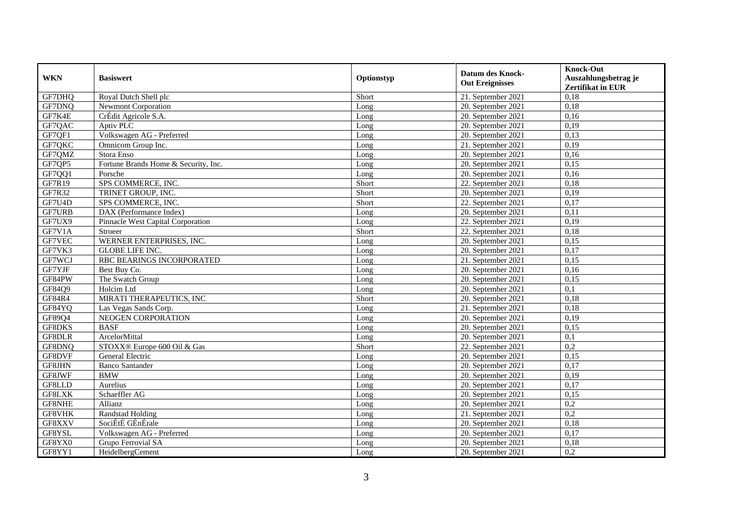| <b>WKN</b>    | <b>Basiswert</b>                     | Optionstyp | <b>Datum des Knock-</b><br><b>Out Ereignisses</b> | <b>Knock-Out</b><br>Auszahlungsbetrag je<br><b>Zertifikat in EUR</b> |
|---------------|--------------------------------------|------------|---------------------------------------------------|----------------------------------------------------------------------|
| GF7DHQ        | Royal Dutch Shell plc                | Short      | 21. September 2021                                | 0,18                                                                 |
| GF7DNQ        | <b>Newmont Corporation</b>           | Long       | 20. September 2021                                | 0,18                                                                 |
| GF7K4E        | CrÉdit Agricole S.A.                 | Long       | 20. September 2021                                | 0,16                                                                 |
| GF7QAC        | Aptiv PLC                            | Long       | 20. September 2021                                | 0,19                                                                 |
| GF7QF1        | Volkswagen AG - Preferred            | Long       | 20. September 2021                                | 0,13                                                                 |
| GF7QKC        | Omnicom Group Inc.                   | Long       | 21. September 2021                                | 0,19                                                                 |
| GF7QMZ        | Stora Enso                           | Long       | 20. September 2021                                | 0,16                                                                 |
| GF7QP5        | Fortune Brands Home & Security, Inc. | Long       | 20. September 2021                                | 0,15                                                                 |
| GF7QQ1        | Porsche                              | Long       | 20. September 2021                                | 0,16                                                                 |
| GF7R19        | SPS COMMERCE, INC.                   | Short      | 22. September 2021                                | 0,18                                                                 |
| GF7R32        | TRINET GROUP, INC.                   | Short      | 20. September 2021                                | 0,19                                                                 |
| GF7U4D        | SPS COMMERCE, INC.                   | Short      | 22. September 2021                                | 0,17                                                                 |
| <b>GF7URB</b> | DAX (Performance Index)              | Long       | 20. September 2021                                | 0,11                                                                 |
| GF7UX9        | Pinnacle West Capital Corporation    | Long       | 22. September 2021                                | 0.19                                                                 |
| GF7V1A        | Stroeer                              | Short      | 22. September 2021                                | 0,18                                                                 |
| GF7VEC        | WERNER ENTERPRISES, INC.             | Long       | 20. September 2021                                | 0,15                                                                 |
| GF7VK3        | <b>GLOBE LIFE INC.</b>               | Long       | 20. September 2021                                | 0,17                                                                 |
| GF7WCJ        | RBC BEARINGS INCORPORATED            | Long       | 21. September 2021                                | 0,15                                                                 |
| GF7YJF        | Best Buy Co.                         | Long       | 20. September 2021                                | 0,16                                                                 |
| GF84PW        | The Swatch Group                     | Long       | 20. September 2021                                | 0,15                                                                 |
| GF84Q9        | Holcim Ltd                           | Long       | 20. September 2021                                | $\overline{0,1}$                                                     |
| <b>GF84R4</b> | MIRATI THERAPEUTICS, INC             | Short      | 20. September 2021                                | 0.18                                                                 |
| GF84YQ        | Las Vegas Sands Corp.                | Long       | 21. September 2021                                | 0,18                                                                 |
| GF89Q4        | NEOGEN CORPORATION                   | Long       | 20. September 2021                                | 0,19                                                                 |
| GF8DKS        | <b>BASF</b>                          | Long       | 20. September 2021                                | 0,15                                                                 |
| <b>GF8DLR</b> | ArcelorMittal                        | Long       | 20. September 2021                                | 0,1                                                                  |
| GF8DNQ        | STOXX® Europe 600 Oil & Gas          | Short      | 22. September 2021                                | 0,2                                                                  |
| GF8DVF        | General Electric                     | Long       | 20. September 2021                                | 0,15                                                                 |
| GF8JHN        | <b>Banco Santander</b>               | Long       | 20. September 2021                                | 0,17                                                                 |
| GF8JWF        | <b>BMW</b>                           | Long       | 20. September 2021                                | 0,19                                                                 |
| GF8LLD        | Aurelius                             | Long       | 20. September 2021                                | 0,17                                                                 |
| GF8LXK        | Schaeffler AG                        | Long       | 20. September 2021                                | 0,15                                                                 |
| GF8NHE        | Allianz                              | Long       | 20. September 2021                                | 0,2                                                                  |
| GF8VHK        | <b>Randstad Holding</b>              | Long       | 21. September 2021                                | 0,2                                                                  |
| GF8XXV        | SociÉtÉ GÉnÉrale                     | Long       | 20. September 2021                                | 0,18                                                                 |
| GF8YSL        | Volkswagen AG - Preferred            | Long       | 20. September 2021                                | 0,17                                                                 |
| GF8YX0        | Grupo Ferrovial SA                   | Long       | 20. September 2021                                | 0,18                                                                 |
| GF8YY1        | HeidelbergCement                     | Long       | 20. September 2021                                | 0,2                                                                  |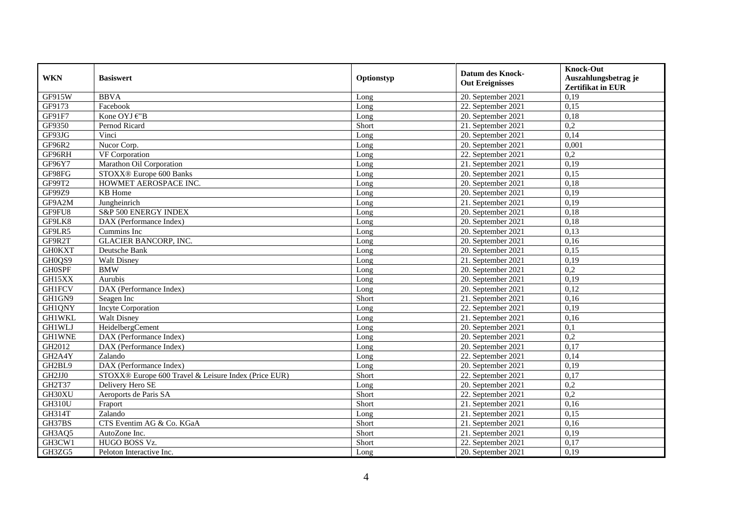| <b>WKN</b>    | <b>Basiswert</b>                                     | Optionstyp | <b>Datum des Knock-</b><br><b>Out Ereignisses</b> | <b>Knock-Out</b><br>Auszahlungsbetrag je<br><b>Zertifikat in EUR</b> |
|---------------|------------------------------------------------------|------------|---------------------------------------------------|----------------------------------------------------------------------|
| GF915W        | <b>BBVA</b>                                          | Long       | 20. September 2021                                | 0,19                                                                 |
| GF9173        | Facebook                                             | Long       | 22. September 2021                                | 0,15                                                                 |
| GF91F7        | Kone OYJ €"B                                         | Long       | 20. September 2021                                | 0,18                                                                 |
| GF9350        | Pernod Ricard                                        | Short      | 21. September 2021                                | 0,2                                                                  |
| GF93JG        | Vinci                                                | Long       | 20. September 2021                                | 0,14                                                                 |
| GF96R2        | Nucor Corp.                                          | Long       | 20. September 2021                                | 0,001                                                                |
| GF96RH        | VF Corporation                                       | Long       | 22. September 2021                                | 0,2                                                                  |
| GF96Y7        | Marathon Oil Corporation                             | Long       | 21. September 2021                                | 0,19                                                                 |
| GF98FG        | STOXX® Europe 600 Banks                              | Long       | 20. September 2021                                | 0,15                                                                 |
| GF99T2        | HOWMET AEROSPACE INC.                                | Long       | 20. September 2021                                | 0,18                                                                 |
| GF99Z9        | KB Home                                              | Long       | 20. September 2021                                | 0,19                                                                 |
| GF9A2M        | Jungheinrich                                         | Long       | 21. September 2021                                | 0,19                                                                 |
| GF9FU8        | S&P 500 ENERGY INDEX                                 | Long       | 20. September 2021                                | 0,18                                                                 |
| GF9LK8        | DAX (Performance Index)                              | Long       | 20. September 2021                                | 0,18                                                                 |
| GF9LR5        | Cummins Inc                                          | Long       | 20. September 2021                                | 0,13                                                                 |
| GF9R2T        | <b>GLACIER BANCORP, INC.</b>                         | Long       | 20. September 2021                                | 0,16                                                                 |
| <b>GH0KXT</b> | Deutsche Bank                                        | Long       | 20. September 2021                                | 0,15                                                                 |
| GH0QS9        | Walt Disney                                          | Long       | 21. September 2021                                | 0,19                                                                 |
| <b>GH0SPF</b> | <b>BMW</b>                                           | Long       | 20. September 2021                                | 0,2                                                                  |
| GH15XX        | Aurubis                                              | Long       | 20. September 2021                                | 0,19                                                                 |
| <b>GH1FCV</b> | DAX (Performance Index)                              | Long       | 20. September 2021                                | 0,12                                                                 |
| GH1GN9        | Seagen Inc                                           | Short      | 21. September 2021                                | 0,16                                                                 |
| GH1QNY        | <b>Incyte Corporation</b>                            | Long       | 22. September 2021                                | 0,19                                                                 |
| <b>GH1WKL</b> | <b>Walt Disney</b>                                   | Long       | 21. September 2021                                | 0,16                                                                 |
| <b>GH1WLJ</b> | HeidelbergCement                                     | Long       | 20. September 2021                                | 0,1                                                                  |
| <b>GH1WNE</b> | DAX (Performance Index)                              | Long       | 20. September 2021                                | 0,2                                                                  |
| GH2012        | DAX (Performance Index)                              | Long       | 20. September 2021                                | 0,17                                                                 |
| GH2A4Y        | Zalando                                              | Long       | 22. September 2021                                | 0,14                                                                 |
| GH2BL9        | DAX (Performance Index)                              | Long       | 20. September 2021                                | 0,19                                                                 |
| GH2JJ0        | STOXX® Europe 600 Travel & Leisure Index (Price EUR) | Short      | 22. September 2021                                | 0,17                                                                 |
| GH2T37        | Delivery Hero SE                                     | Long       | 20. September 2021                                | 0,2                                                                  |
| GH30XU        | Aeroports de Paris SA                                | Short      | 22. September 2021                                | 0,2                                                                  |
| <b>GH310U</b> | Fraport                                              | Short      | 21. September $2021$                              | 0,16                                                                 |
| GH314T        | Zalando                                              | Long       | 21. September 2021                                | 0,15                                                                 |
| GH37BS        | CTS Eventim AG & Co. KGaA                            | Short      | 21. September 2021                                | 0,16                                                                 |
| GH3AQ5        | AutoZone Inc.                                        | Short      | 21. September 2021                                | 0,19                                                                 |
| GH3CW1        | HUGO BOSS Vz.                                        | Short      | 22. September 2021                                | 0,17                                                                 |
| GH3ZG5        | Peloton Interactive Inc.                             | Long       | 20. September 2021                                | 0,19                                                                 |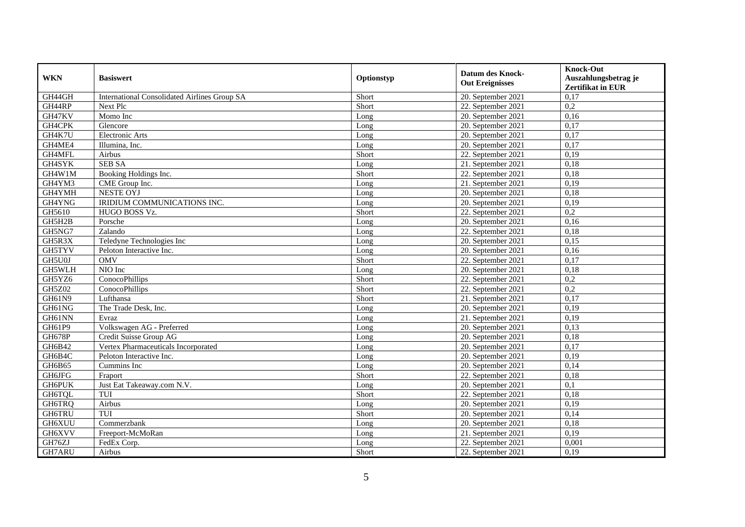| <b>WKN</b>    | <b>Basiswert</b>                                    | Optionstyp | <b>Datum des Knock-</b><br><b>Out Ereignisses</b> | <b>Knock-Out</b><br>Auszahlungsbetrag je<br>Zertifikat in EUR |
|---------------|-----------------------------------------------------|------------|---------------------------------------------------|---------------------------------------------------------------|
| GH44GH        | <b>International Consolidated Airlines Group SA</b> | Short      | 20. September 2021                                | 0,17                                                          |
| GH44RP        | Next Plc                                            | Short      | 22. September 2021                                | 0,2                                                           |
| GH47KV        | Momo Inc                                            | Long       | 20. September 2021                                | 0,16                                                          |
| GH4CPK        | Glencore                                            | Long       | 20. September 2021                                | 0,17                                                          |
| GH4K7U        | Electronic Arts                                     | Long       | 20. September 2021                                | 0,17                                                          |
| GH4ME4        | Illumina, Inc.                                      | Long       | 20. September 2021                                | 0,17                                                          |
| GH4MFL        | Airbus                                              | Short      | 22. September 2021                                | 0,19                                                          |
| GH4SYK        | <b>SEB SA</b>                                       | Long       | 21. September 2021                                | 0,18                                                          |
| GH4W1M        | Booking Holdings Inc.                               | Short      | 22. September 2021                                | 0,18                                                          |
| GH4YM3        | CME Group Inc.                                      | Long       | 21. September 2021                                | 0,19                                                          |
| GH4YMH        | NESTE OYJ                                           | Long       | 20. September 2021                                | 0,18                                                          |
| GH4YNG        | IRIDIUM COMMUNICATIONS INC.                         | Long       | 20. September 2021                                | 0,19                                                          |
| GH5610        | HUGO BOSS Vz.                                       | Short      | 22. September 2021                                | 0,2                                                           |
| GH5H2B        | Porsche                                             | Long       | 20. September 2021                                | 0,16                                                          |
| GH5NG7        | Zalando                                             | Long       | 22. September 2021                                | 0,18                                                          |
| GH5R3X        | Teledyne Technologies Inc                           | Long       | 20. September 2021                                | 0,15                                                          |
| <b>GH5TYV</b> | Peloton Interactive Inc.                            | Long       | 20. September 2021                                | 0,16                                                          |
| GH5U0J        | <b>OMV</b>                                          | Short      | 22. September 2021                                | 0,17                                                          |
| <b>GH5WLH</b> | NIO Inc                                             | Long       | 20. September 2021                                | 0,18                                                          |
| GH5YZ6        | ConocoPhillips                                      | Short      | 22. September 2021                                | 0,2                                                           |
| <b>GH5Z02</b> | ConocoPhillips                                      | Short      | 22. September 2021                                | 0,2                                                           |
| <b>GH61N9</b> | Lufthansa                                           | Short      | 21. September $2021$                              | 0.17                                                          |
| GH61NG        | The Trade Desk, Inc.                                | Long       | 20. September 2021                                | 0,19                                                          |
| GH61NN        | Evraz                                               | Long       | 21. September 2021                                | 0,19                                                          |
| GH61P9        | Volkswagen AG - Preferred                           | Long       | 20. September 2021                                | 0,13                                                          |
| <b>GH678P</b> | Credit Suisse Group AG                              | Long       | 20. September 2021                                | 0,18                                                          |
| GH6B42        | Vertex Pharmaceuticals Incorporated                 | Long       | 20. September 2021                                | 0,17                                                          |
| GH6B4C        | Peloton Interactive Inc.                            | Long       | 20. September 2021                                | 0,19                                                          |
| GH6B65        | Cummins Inc                                         | Long       | 20. September 2021                                | 0,14                                                          |
| <b>GH6JFG</b> | Fraport                                             | Short      | 22. September 2021                                | 0,18                                                          |
| <b>GH6PUK</b> | Just Eat Takeaway.com N.V.                          | Long       | 20. September 2021                                | 0,1                                                           |
| GH6TQL        | TUI                                                 | Short      | 22. September 2021                                | 0,18                                                          |
| GH6TRQ        | Airbus                                              | Long       | 20. September 2021                                | 0,19                                                          |
| <b>GH6TRU</b> | TUI                                                 | Short      | 20. September 2021                                | 0,14                                                          |
| GH6XUU        | Commerzbank                                         | Long       | 20. September 2021                                | 0,18                                                          |
| GH6XVV        | Freeport-McMoRan                                    | Long       | 21. September 2021                                | 0,19                                                          |
| GH76ZJ        | FedEx Corp.                                         | Long       | 22. September 2021                                | 0,001                                                         |
| GH7ARU        | Airbus                                              | Short      | 22. September 2021                                | 0,19                                                          |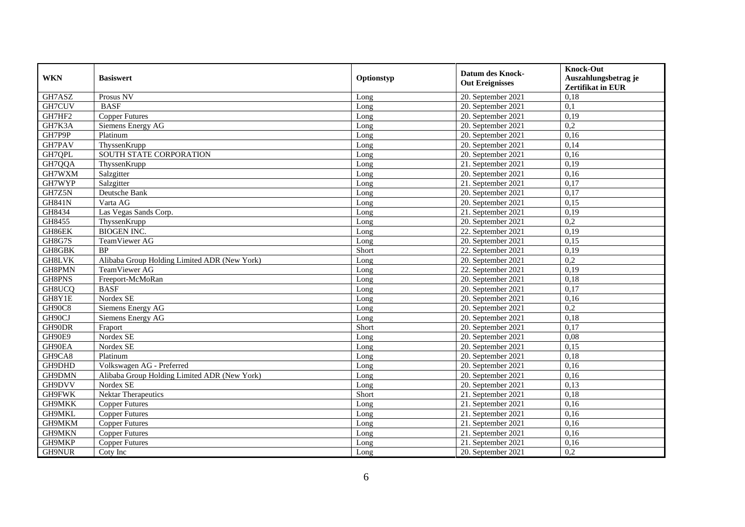| <b>WKN</b>    | <b>Basiswert</b>                             | Optionstyp | <b>Datum des Knock-</b><br><b>Out Ereignisses</b> | <b>Knock-Out</b><br>Auszahlungsbetrag je<br><b>Zertifikat in EUR</b> |
|---------------|----------------------------------------------|------------|---------------------------------------------------|----------------------------------------------------------------------|
| GH7ASZ        | Prosus NV                                    | Long       | 20. September 2021                                | 0,18                                                                 |
| GH7CUV        | <b>BASF</b>                                  | Long       | 20. September 2021                                | 0,1                                                                  |
| GH7HF2        | <b>Copper Futures</b>                        | Long       | 20. September 2021                                | 0,19                                                                 |
| GH7K3A        | Siemens Energy AG                            | Long       | 20. September 2021                                | 0,2                                                                  |
| GH7P9P        | Platinum                                     | Long       | 20. September 2021                                | 0,16                                                                 |
| GH7PAV        | ThyssenKrupp                                 | Long       | 20. September 2021                                | 0,14                                                                 |
| GH7QPL        | SOUTH STATE CORPORATION                      | Long       | 20. September 2021                                | 0,16                                                                 |
| GH7QQA        | ThyssenKrupp                                 | Long       | 21. September 2021                                | 0,19                                                                 |
| GH7WXM        | Salzgitter                                   | Long       | 20. September 2021                                | 0,16                                                                 |
| GH7WYP        | Salzgitter                                   | Long       | 21. September 2021                                | 0,17                                                                 |
| GH7Z5N        | Deutsche Bank                                | Long       | 20. September 2021                                | 0,17                                                                 |
| <b>GH841N</b> | Varta AG                                     | Long       | 20. September 2021                                | 0,15                                                                 |
| GH8434        | Las Vegas Sands Corp.                        | Long       | 21. September 2021                                | 0,19                                                                 |
| GH8455        | ThyssenKrupp                                 | Long       | 20. September 2021                                | 0,2                                                                  |
| GH86EK        | <b>BIOGEN INC.</b>                           | Long       | 22. September 2021                                | 0,19                                                                 |
| GH8G7S        | TeamViewer AG                                | Long       | 20. September 2021                                | 0,15                                                                 |
| GH8GBK        | <b>BP</b>                                    | Short      | 22. September 2021                                | 0,19                                                                 |
| <b>GH8LVK</b> | Alibaba Group Holding Limited ADR (New York) | Long       | 20. September 2021                                | 0,2                                                                  |
| GH8PMN        | TeamViewer AG                                | Long       | 22. September 2021                                | 0,19                                                                 |
| GH8PNS        | Freeport-McMoRan                             | Long       | 20. September 2021                                | 0,18                                                                 |
| GH8UCQ        | <b>BASF</b>                                  | Long       | 20. September 2021                                | 0,17                                                                 |
| GH8Y1E        | Nordex SE                                    | Long       | 20. September 2021                                | 0.16                                                                 |
| GH90C8        | Siemens Energy AG                            | Long       | 20. September 2021                                | 0,2                                                                  |
| GH90CJ        | Siemens Energy AG                            | Long       | 20. September 2021                                | 0,18                                                                 |
| GH90DR        | Fraport                                      | Short      | 20. September 2021                                | 0,17                                                                 |
| GH90E9        | Nordex SE                                    | Long       | 20. September 2021                                | 0,08                                                                 |
| GH90EA        | Nordex SE                                    | Long       | 20. September 2021                                | 0,15                                                                 |
| GH9CA8        | Platinum                                     | Long       | 20. September 2021                                | 0,18                                                                 |
| GH9DHD        | Volkswagen AG - Preferred                    | Long       | 20. September 2021                                | 0,16                                                                 |
| GH9DMN        | Alibaba Group Holding Limited ADR (New York) | Long       | 20. September 2021                                | 0,16                                                                 |
| GH9DVV        | Nordex SE                                    | Long       | 20. September 2021                                | 0,13                                                                 |
| <b>GH9FWK</b> | <b>Nektar Therapeutics</b>                   | Short      | 21. September 2021                                | 0,18                                                                 |
| GH9MKK        | <b>Copper Futures</b>                        | Long       | 21. September 2021                                | 0,16                                                                 |
| GH9MKL        | <b>Copper Futures</b>                        | Long       | 21. September 2021                                | 0,16                                                                 |
| GH9MKM        | <b>Copper Futures</b>                        | Long       | 21. September 2021                                | 0,16                                                                 |
| GH9MKN        | <b>Copper Futures</b>                        | Long       | 21. September 2021                                | 0,16                                                                 |
| GH9MKP        | <b>Copper Futures</b>                        | Long       | 21. September 2021                                | 0,16                                                                 |
| GH9NUR        | Coty Inc                                     | Long       | 20. September 2021                                | 0,2                                                                  |